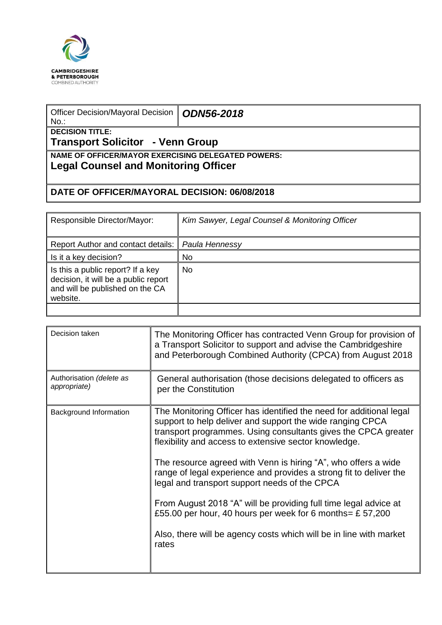

| Officer Decision/Mayoral Decision<br>$No.$ :                                                      | <b>ODN56-2018</b> |  |  |  |
|---------------------------------------------------------------------------------------------------|-------------------|--|--|--|
| <b>DECISION TITLE:</b><br>Transport Solicitor - Venn Group                                        |                   |  |  |  |
| <b>NAME OF OFFICER/MAYOR EXERCISING DELEGATED POWERS:</b><br>Legal Counsel and Monitoring Officer |                   |  |  |  |
| DATE OF OFFICER/MAYORAL DECISION: 06/08/2018                                                      |                   |  |  |  |

| Responsible Director/Mayor:                                                                                              | Kim Sawyer, Legal Counsel & Monitoring Officer |
|--------------------------------------------------------------------------------------------------------------------------|------------------------------------------------|
| Report Author and contact details:   Paula Hennessy                                                                      |                                                |
| Is it a key decision?                                                                                                    | No                                             |
| Is this a public report? If a key<br>decision, it will be a public report<br>and will be published on the CA<br>website. | No.                                            |

| Decision taken                           | The Monitoring Officer has contracted Venn Group for provision of<br>a Transport Solicitor to support and advise the Cambridgeshire<br>and Peterborough Combined Authority (CPCA) from August 2018                                                                                                                                                                                                                                                                                                                                                                                                                                                                    |
|------------------------------------------|-----------------------------------------------------------------------------------------------------------------------------------------------------------------------------------------------------------------------------------------------------------------------------------------------------------------------------------------------------------------------------------------------------------------------------------------------------------------------------------------------------------------------------------------------------------------------------------------------------------------------------------------------------------------------|
| Authorisation (delete as<br>appropriate) | General authorisation (those decisions delegated to officers as<br>per the Constitution                                                                                                                                                                                                                                                                                                                                                                                                                                                                                                                                                                               |
| Background Information                   | The Monitoring Officer has identified the need for additional legal<br>support to help deliver and support the wide ranging CPCA<br>transport programmes. Using consultants gives the CPCA greater<br>flexibility and access to extensive sector knowledge.<br>The resource agreed with Venn is hiring "A", who offers a wide<br>range of legal experience and provides a strong fit to deliver the<br>legal and transport support needs of the CPCA<br>From August 2018 "A" will be providing full time legal advice at<br>£55.00 per hour, 40 hours per week for 6 months = £ 57,200<br>Also, there will be agency costs which will be in line with market<br>rates |